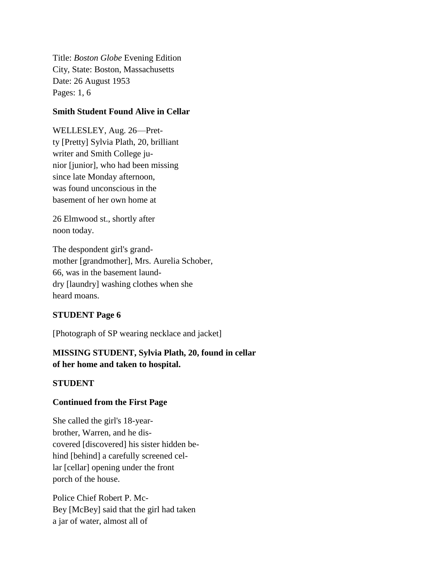Title: *Boston Globe* Evening Edition City, State: Boston, Massachusetts Date: 26 August 1953 Pages: 1, 6

#### **Smith Student Found Alive in Cellar**

WELLESLEY, Aug. 26—Pretty [Pretty] Sylvia Plath, 20, brilliant writer and Smith College junior [junior], who had been missing since late Monday afternoon, was found unconscious in the basement of her own home at

26 Elmwood st., shortly after noon today.

The despondent girl's grandmother [grandmother], Mrs. Aurelia Schober, 66, was in the basement launddry [laundry] washing clothes when she heard moans.

### **STUDENT Page 6**

[Photograph of SP wearing necklace and jacket]

## **MISSING STUDENT, Sylvia Plath, 20, found in cellar of her home and taken to hospital.**

### **STUDENT**

### **Continued from the First Page**

She called the girl's 18-yearbrother, Warren, and he discovered [discovered] his sister hidden behind [behind] a carefully screened cellar [cellar] opening under the front porch of the house.

Police Chief Robert P. Mc-Bey [McBey] said that the girl had taken a jar of water, almost all of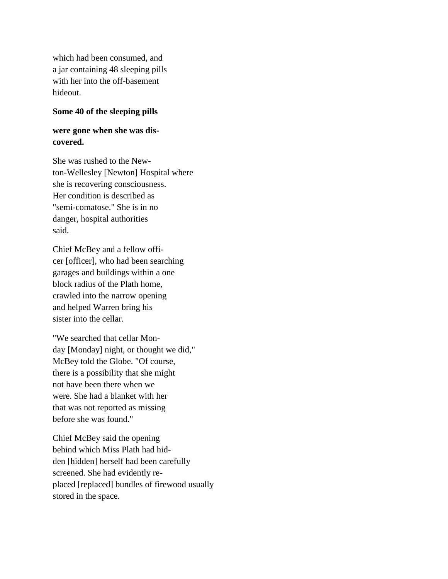which had been consumed, and a jar containing 48 sleeping pills with her into the off-basement hideout.

#### **Some 40 of the sleeping pills**

# **were gone when she was discovered.**

She was rushed to the Newton-Wellesley [Newton] Hospital where she is recovering consciousness. Her condition is described as "semi-comatose." She is in no danger, hospital authorities said.

Chief McBey and a fellow officer [officer], who had been searching garages and buildings within a one block radius of the Plath home, crawled into the narrow opening and helped Warren bring his sister into the cellar.

"We searched that cellar Monday [Monday] night, or thought we did," McBey told the Globe. "Of course, there is a possibility that she might not have been there when we were. She had a blanket with her that was not reported as missing before she was found."

Chief McBey said the opening behind which Miss Plath had hidden [hidden] herself had been carefully screened. She had evidently replaced [replaced] bundles of firewood usually stored in the space.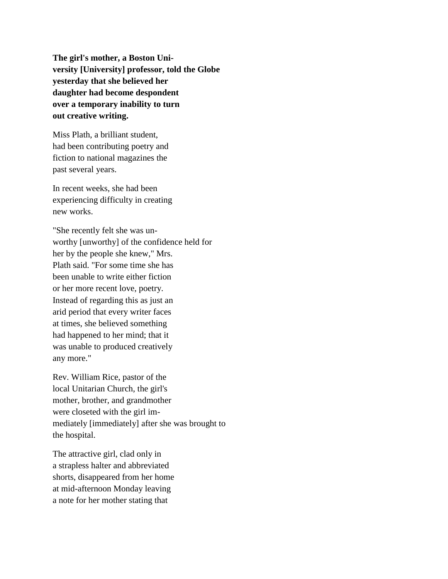**The girl's mother, a Boston University [University] professor, told the Globe yesterday that she believed her daughter had become despondent over a temporary inability to turn out creative writing.**

Miss Plath, a brilliant student, had been contributing poetry and fiction to national magazines the past several years.

In recent weeks, she had been experiencing difficulty in creating new works.

"She recently felt she was unworthy [unworthy] of the confidence held for her by the people she knew," Mrs. Plath said. "For some time she has been unable to write either fiction or her more recent love, poetry. Instead of regarding this as just an arid period that every writer faces at times, she believed something had happened to her mind; that it was unable to produced creatively any more."

Rev. William Rice, pastor of the local Unitarian Church, the girl's mother, brother, and grandmother were closeted with the girl immediately [immediately] after she was brought to the hospital.

The attractive girl, clad only in a strapless halter and abbreviated shorts, disappeared from her home at mid-afternoon Monday leaving a note for her mother stating that